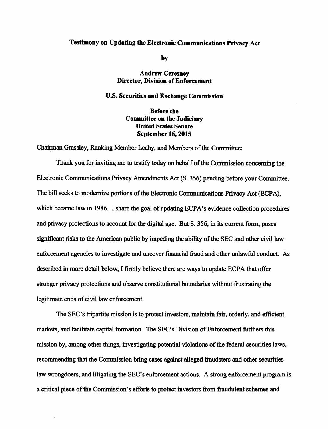## *Testimony on Updatingthe Electronic Communications Privacy Act*

*by*

## *Andrew Ceresney Director, Division of Enforcement*

## *U.S. Securities and Exchange Commission*

## *Before the Committee on the Judiciary United States Senate September 16,2015*

Chairman Grassley, Ranking Member Leahy, and Members of the Committee:

Thank you for inviting me to testify today on behalf of the Commission concerning the Electronic Communications Privacy Amendments Act (S. 356) pending before your Committee. The bill seeks to modernize portions of the Electronic Communications Privacy Act (ECPA), which became law in 1986. I share the goal of updating ECPA's evidence collection procedures and privacy protections to account for the digital age. But S. 356, in its current form, poses significant risks to the American public by impeding the ability of the SEC and other civil law enforcement agencies to investigate and uncover financial fraud and other unlawful conduct. As described in more detail below, I firmly believe there are ways to update ECPA that offer stronger privacy protections and observe constitutional boundaries without frustrating the legitimate ends of civil law enforcement.

The SEC's tripartite mission is to protect investors, maintain fair, orderly, and efficient markets, and facilitate capital formation. The SEC's Division of Enforcement furthers this mission by, among other things, investigating potential violations of the federal securities laws, recommending that the Commission bring cases against alleged fraudsters and other securities law wrongdoers, and litigating the SEC's enforcement actions. A strong enforcement program is a critical piece of the Commission's efforts to protect investors from fraudulent schemes and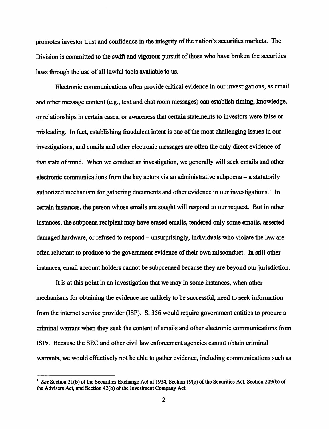*promotes* investor trust and confidence in the integrity of the nation's securities markets. The *Division is committed to the swift and vigorous pursuit of those who have broken the securities* laws through the use of all lawful tools available to us.

*Electronic communications* often provide critical evidence in our investigations, as email *andothermessage content(e.g., text and chatroom messages) can establishtiming, knowledge, orrelationships in certain cases, or awareness that certain statements to investors were false or misleading.* In fact, establishing fraudulent intent is one of the most challenging issues in our *investigations, and emails and other electronic messagesareoften the only direct evidence of that state ofmind. When we conduct an investigation, we generally will seek emails and other electronic communications from the key actors via an administrative subpoena - a statutorily authorized mechanism for gathering documents and other evidence inour investigations.1 In certaininstances, the person whose emails are sought will respond to our request. But in other instances, the subpoena recipient may have erased emails, tendered only some emails, asserted damaged hardware, or refused to respond - unsurprisingly, individuals who violate the law are often reluctant to produce to the government evidence oftheir own misconduct. In still other instances, email account holders cannot be subpoenaed because they are beyond our jurisdiction.*

*It is at this point in an investigation that we may in some instances, when other mechanisms for obtaining the evidence are unlikely to be successful, need to seek information from the internet service provider (ISP). S. 356 would require government entities to procure a criminal warrant when they seek the content ofemails and other electronic communications from ISPs. Because the SEC and other civil law enforcement agencies cannot obtain criminal warrants, we would effectively not be able to gather evidence, including communications such as*

*See* Section 21(b) of the Securities Exchange Act of 1934, Section 19(c) of the Securities Act, Section 209(b) of *the Advisers Act, and Section 42(b) ofthe Investment Company Act.*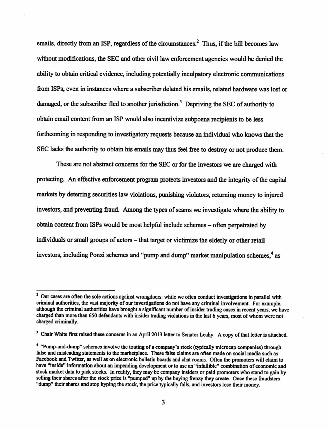*emails, directly from an ISP, regardless ofthe circumstances.2 Thus, ifthe bill becomes law without modifications, the SEC and other civil law enforcement agencies would be denied the ability to obtain critical evidence, including potentiallyinculpatoryelectronic communications from ISPs, even in instances where a subscriber deleted his emails, related hardware was lost or* damaged, or the subscriber fled to another jurisdiction.<sup>3</sup> Depriving the SEC of authority to *obtain email content from an ISP would also incentivize subpoena recipients to be less* forthcoming in responding to investigatory requests because an individual who knows that the *SEC lacks the authority to obtain his emails may thus feel free to destroy or not produce them.* 

*These are not abstract concerns for the SEC or for the investors we are charged with protecting. An effective enforcement program protects investors andthe integrity ofthe capital markets by deterring securities lawviolations, punishing violators, returning money to injured investors, and preventing fraud. Amongthetypesofscams we investigate where the ability to obtain content from ISPs wouldbe most helpful include schemes - often perpetrated by individuals* or small groups of actors – that target or victimize the elderly or other retail *investors, including Ponzi schemes and "pump and dump" market manipulation schemes,4 as*

<sup>&</sup>lt;sup>2</sup> Our cases are often the sole actions against wrongdoers: while we often conduct investigations in parallel with *criminal authorities, thevastmajority of our investigations donothave any criminal involvement. For example, although the criminal authorities havebrought a significant number ofinsider trading cases in recent years, we have charged thanmorethan650 defendants with insidertrading violations in the last6 years, most ofwhom werenot charged criminally.*

<sup>&</sup>lt;sup>3</sup> Chair White first raised these concerns in an April 2013 letter to Senator Leahy. A copy of that letter is attached.

<sup>&</sup>lt;sup>4</sup> "Pump-and-dump" schemes involve the touting of a company's stock (typically microcap companies) through *false and misleading statements to the marketplace. These false claims areoften made on social media such as Facebook and Twitter, aswell ason electronic bulletin boards and chatrooms. Oftenthe promoters will claimto* have "inside" information about an impending development or to use an "infallible" combination of economic and *stock market data to pick stocks. Inreality, they maybe company insiders orpaid promoters who stand to gain by selling theirshares afterthe stock price is "pumped" up by the buying frenzy they create. Oncethese fraudsters "dump" their shares andstophypingthe stock, the price typically falls, and investors losetheirmoney.*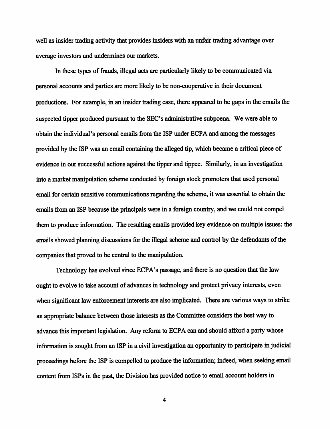*well as insider trading activity that provides insiders with an unfair trading advantage over averageinvestors and undermines our markets.*

*In these types of frauds, illegal acts are particularly likely to be communicated via personal accounts and parties aremore likely to be non-cooperativein their document productions.* For example, in an insider trading case, there appeared to be gaps in the emails the *suspected tipper producedpursuant to the SEC's administrative subpoena. We were able to obtain the individual's personalemails from the ISP under ECPA and among the messages provided by the ISP was an email containing the alleged tip, which became a critical piece of evidence in our successful actions against the tipper and tippee. Similarly, in an investigation* into a market manipulation scheme conducted by foreign stock promoters that used personal *email for certain sensitive communications regarding the scheme, it was essential to obtain the emails from an ISP because the principals were in a foreign country, and we could not compel them to produce information. The resulting emails provided key evidence on multiple issues: the emails showed planning discussions for the illegal scheme and control by the defendants of the* companies that proved to be central to the manipulation.

*Technologyhas evolved since ECPA's passage, andthereis no questionthat the law ought to evolve to take account of advances in <i>technology* and protect privacy interests, even when significant law enforcement interests are also implicated. There are various ways to strike *anappropriate balance betweenthoseinterests astheCommittee considers the best way to advance thisimportant legislation. Any reform to ECPAcanandshouldafford a partywhose information* is sought from an ISP in a civil investigation an opportunity to participate in judicial *proceedings before the ISP is compelled to produce the information; indeed, when seeking email* content from ISPs in the past, the Division has provided notice to email account holders in

4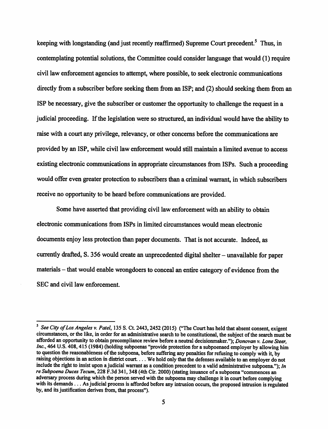*keeping with longstanding (and justrecently reaffirmed) Supreme Court precedent.5 Thus, in contemplating potential solutions, the Committee could consider language that would (1) require civil law enforcement agencies to attempt, where possible, to seek electronic communications directly from a subscriber before seeking them from an ISP; and (2) should seeking them from an ISP be necessary, give the subscriber or customer the opportunity to challenge the request in a judicial proceeding. Ifthe legislation were so structured, an individual would have the ability to* raise with a court any privilege, relevancy, or other concerns before the communications are *provided by an ISP, while civil law enforcement would still maintain a limited avenue to access existing electronic communications in appropriate circumstances from ISPs. Such a proceeding would offer even greater protection to subscribersthan a criminal warrant, in which subscribers receiveno opportunity to be heard before communications are provided.*

Some have asserted that providing civil law enforcement with an ability to obtain *electronic communications from ISPs in limited circumstances would mean electronic documents enjoy less protection than paper documents. That is not accurate. Indeed, as currently drafted, S. 356would create an unprecedented digital shelter- unavailable for paper materials* – that would enable wrongdoers to conceal an entire category of evidence from the *SEC and civil law enforcement.*

<sup>5</sup>**See City ofLos Angeles** v. **Patel,** 135 S. Ct. 2443,2452 (2015) ("The Court has held that absent consent, exigent circumstances, or the like, in order for an administrative search to be constitutional, the subject of the search must be afforded an opportunity to obtain precompliance review before a neutral decisionmaker."); **Donovan** v. **Lone Steer,** Inc., 464 U.S. 408, 415 (1984) (holding subpoenas "provide protection for a subpoenaed employer by allowing him to question the reasonableness of the subpoena, before suffering any penalties for refusing to comply with it, by raising objections in an action in district court ... We hold only that the defenses available to an employer do not include the right to insist upon a judicial warrant as a condition precedent to a valid administrative subpoena."); *In* **reSubpoena Duces Tecum,** 228 F.3d341,348(4thCir. 2000) (stating issuance of a subpoena "commences an adversary process during which the person served with the subpoena may challenge it in court before complying with its demands... As judicial process is afforded before any intrusion occurs, the proposed intrusion is regulated by, and its justification derives from, that process").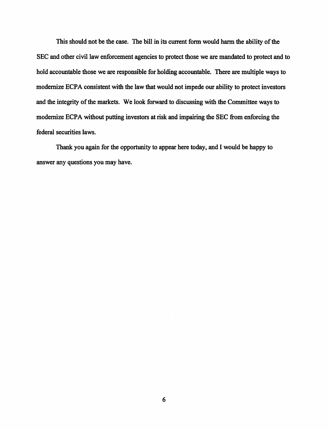This should not be the case. The bill in its current form would harm the ability of the *SEC and other civil law enforcement agencies to protect those we are mandated to protect and to hold accountable those we are responsible for holding accountable. There are multiple ways to modernize ECPA consistent with the law that would not impede our ability to protect investors and the integrity ofthe markets. We look forward to discussing with the Committee ways to modernize ECPA without putting investors at risk and impairing the SEC from enforcing the federal securities laws.*

*Thank you again for the opportunity to appear here today, and I would be happy to answer any questions you may have.*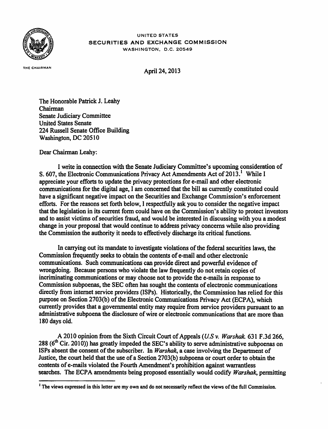

UNITED STATES *SECURITIES AND EXCHANGE COMMISSION* WASHINGTON, D.C. 20549

THE CHAIRMAN

*April 24,2013*

*The Honorable Patrick J. Leahy Chairman Senate Judiciary Committee United States Senate 224 Russell Senate Office Building Washington, DC 20510*

*Dear Chairman Leahy:*

*I write in connection with the Senate Judiciary Committee's upcoming consideration of S. 607, the Electronic Communications Privacy Act Amendments Actof 2013.l While I appreciate your efforts to update the privacy protections for e-mail and other electronic communications for the digital age, I am concerned that the bill as currently constituted could have a significant negative impact on the Securities and Exchange Commission's enforcement efforts. For the reasons set forth below, I respectfully ask you to consider the negative impact that the legislation in its current form could have on the Commission's ability to protect investors and to assist victims ofsecurities fraud, and would be interested in discussing with you a modest change in your proposal that would continue to address privacy concerns while also providing the Commission the authority it needs to effectively discharge its critical functions.*

In carrying out its mandate to investigate violations of the federal securities laws, the *Commission frequently seeks to obtain the contents of e-mail and other electronic communications. Such communications canprovide direct and powerful evidence of wrongdoing. Because persons who violate the law frequently do not retain copies of incriminating communications or may choose notto provide the e-mails in response to Commission subpoenas, the SEC often has sought the contents of electronic communications directly from internet service providers (ISPs). Historically, the Commission has relied for this purpose* on Section 2703(b) of the Electronic Communications Privacy Act (ECPA), which *currently provides that a governmental entity may require from service providers pursuantto an administrative subpoena the disclosure of wire or electronic communications that are more than 180 days old.*

*A 2010 opinion from the Sixth CircuitCourtofAppeals (US v. Warshak. 631 F.3d 266, 288 (6th Cir. 2010)) has greatly impeded the SEC's ability to serve administrative subpoenas on ISPs absent the consent of the subscriber. In <i>Warshak*, a case involving the Department of Justice, the court held that the use of a Section 2703(b) subpoena or court order to obtain the *contents ofe-mails violated the FourthAmendment's prohibition against warrantless searches. The ECPA amendments being proposed essentially would codify Warshak, permitting*

<sup>&</sup>lt;sup>*I*</sup> The views expressed in this letter are my own and do not necessarily reflect the views of the full Commission.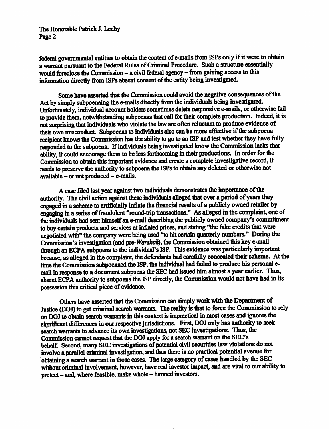*The Honorable Patrick J. Leahy Page2*

*federal governmental entitiestoobtain the content of e-mails from ISPs only ifitwere toobtain awarrant pursuant tothe Federal Rules ofCrirninal Procedure. Such astructure essentially would foreclose theCommission - acivil federal agency - from gaining access to this information directly from ISPs absent consent of theentity being investigated.*

Some have asserted that the Commission could avoid the negative consequences of the *Actbysimply subpoenaing the e-mails directly from the individuals being investigated. Unfortunately, individual account holders sometimes delete responsive e-mails, orotherwise fail to provide them, notwithstanding subpoenasthat call for their complete production. Indeed, itis notsurprising that individuals who violate the law are often reluctant toproduce evidence of their ownmisconduct Subpoenas to individuals also can bemore effective ifthe subpoena recipient* knows the *Commission* has the ability to go to an ISP and test whether they have fully *responded* to the subpoena. If individuals being investigated know the Commission lacks that *ability, it could encourage them tobeless forthcoming intheir productions. In order for the Commission to obtain thisimportant evidence and create acomplete investigative record, it needstopreserve the authority to subpoena the ISPs toobtain any deleted orotherwise not available - or not produced - e-mails.*

*A case filed last year against twoindividuals demonstrates the importance ofthe authority. The civil action against these individuals alleged that over aperiod ofyears they engaged inascheme toartificially inflate the financial results ofapublicly owned retailer by engaging inaseries of fraudulent "round-trip transactions.\*' Asalleged inthe complaint, one of the individuals had senthimselfan e-mail describing the publiclyowned company's commitment to buy certain products and services at inflated prices, and stating "the fake creditsthat were negotiated with" the company were being used "to hit certain quarterly numbers." During the Commission's* investigation (and *pre-Warshak*), the Commission obtained this key *e-mail through an ECPA subpoena tothe individual's ISP. This evidence was particularly important because, as alleged inthe complaint, the defendants had carefully concealed their scheme. Atthe time the Commission subpoenaed the ISP, the individual had failed to produce his personal email inresponse toadocument subpoena the SEC had issued him almost ayear earlier. Thus, absent ECPA authority to subpoena the ISP directly, the Commission would nothave had inits possession thiscritical piece ofevidence.*

*Others haveasserted thattheCommission can simplywork with the Department of Justice (DOJ) toget criminal search warrants. The reality isthat to force the Commission torely onDOJ to obtain search warrants in thiscontext isimpractical in most cases andignoresthe significant differences inourrespective jurisdictions. First, DOJ only has authority toseek search warrants to advance its own investigations, not SECinvestigations. Thus, the Commission cannotrequest thatthe DOJ apply for a search warrant on the SEC's behalf. Second, many SECinvestigations ofpotential civilsecurities lawviolations donot involve aparallel criminal investigation, and thus there isno practical potential avenue for obtaining asearch warrant inthose cases. The large category of cases handled bythe SEC* without *criminal* involvement, however, have real investor impact, and are vital to our ability to *protect- and, where feasible, make whole - harmed investors.*